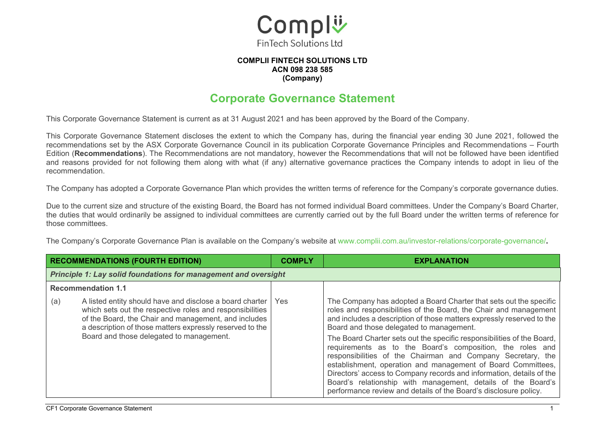

#### **COMPLII FINTECH SOLUTIONS LTD ACN 098 238 585 (Company)**

#### **Corporate Governance Statement**

This Corporate Governance Statement is current as at 31 August 2021 and has been approved by the Board of the Company.

This Corporate Governance Statement discloses the extent to which the Company has, during the financial year ending 30 June 2021, followed the recommendations set by the ASX Corporate Governance Council in its publication Corporate Governance Principles and Recommendations – Fourth Edition (**Recommendations**). The Recommendations are not mandatory, however the Recommendations that will not be followed have been identified and reasons provided for not following them along with what (if any) alternative governance practices the Company intends to adopt in lieu of the recommendation.

The Company has adopted a Corporate Governance Plan which provides the written terms of reference for the Company's corporate governance duties.

Due to the current size and structure of the existing Board, the Board has not formed individual Board committees. Under the Company's Board Charter, the duties that would ordinarily be assigned to individual committees are currently carried out by the full Board under the written terms of reference for those committees.

The Company's Corporate Governance Plan is available on the Company's website at www.complii.com.au/investor-relations/corporate-governance/**.**

|                           | <b>RECOMMENDATIONS (FOURTH EDITION)</b>                                                                                                                                                                                                                                              | <b>COMPLY</b> | <b>EXPLANATION</b>                                                                                                                                                                                                                                                                                                                                                                                                                                                                                                                                                                                                                                                                                                                             |  |
|---------------------------|--------------------------------------------------------------------------------------------------------------------------------------------------------------------------------------------------------------------------------------------------------------------------------------|---------------|------------------------------------------------------------------------------------------------------------------------------------------------------------------------------------------------------------------------------------------------------------------------------------------------------------------------------------------------------------------------------------------------------------------------------------------------------------------------------------------------------------------------------------------------------------------------------------------------------------------------------------------------------------------------------------------------------------------------------------------------|--|
|                           | <b>Principle 1: Lay solid foundations for management and oversight</b>                                                                                                                                                                                                               |               |                                                                                                                                                                                                                                                                                                                                                                                                                                                                                                                                                                                                                                                                                                                                                |  |
| <b>Recommendation 1.1</b> |                                                                                                                                                                                                                                                                                      |               |                                                                                                                                                                                                                                                                                                                                                                                                                                                                                                                                                                                                                                                                                                                                                |  |
| (a)                       | A listed entity should have and disclose a board charter<br>which sets out the respective roles and responsibilities<br>of the Board, the Chair and management, and includes<br>a description of those matters expressly reserved to the<br>Board and those delegated to management. | <b>Yes</b>    | The Company has adopted a Board Charter that sets out the specific<br>roles and responsibilities of the Board, the Chair and management<br>and includes a description of those matters expressly reserved to the<br>Board and those delegated to management.<br>The Board Charter sets out the specific responsibilities of the Board,<br>requirements as to the Board's composition, the roles and<br>responsibilities of the Chairman and Company Secretary, the<br>establishment, operation and management of Board Committees,<br>Directors' access to Company records and information, details of the<br>Board's relationship with management, details of the Board's<br>performance review and details of the Board's disclosure policy. |  |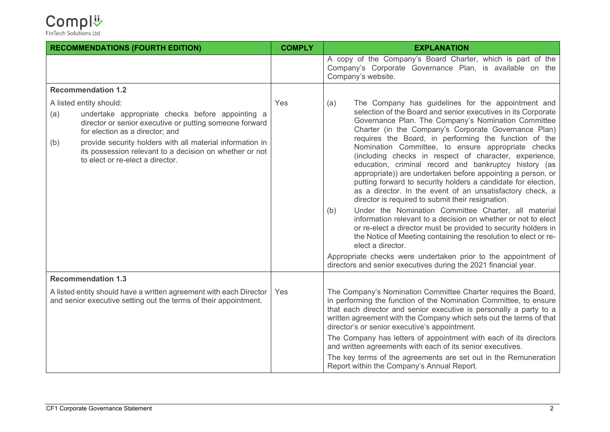| <b>RECOMMENDATIONS (FOURTH EDITION)</b> |                                                                                                                                                                                                                                                                                                            | <b>COMPLY</b> | <b>EXPLANATION</b>                                                                                                                                                                                                                                                                                                                                                                                                                                                                                                                                                                                                                                                                                                                                                                           |
|-----------------------------------------|------------------------------------------------------------------------------------------------------------------------------------------------------------------------------------------------------------------------------------------------------------------------------------------------------------|---------------|----------------------------------------------------------------------------------------------------------------------------------------------------------------------------------------------------------------------------------------------------------------------------------------------------------------------------------------------------------------------------------------------------------------------------------------------------------------------------------------------------------------------------------------------------------------------------------------------------------------------------------------------------------------------------------------------------------------------------------------------------------------------------------------------|
|                                         |                                                                                                                                                                                                                                                                                                            |               | A copy of the Company's Board Charter, which is part of the<br>Company's Corporate Governance Plan, is available on the<br>Company's website.                                                                                                                                                                                                                                                                                                                                                                                                                                                                                                                                                                                                                                                |
| <b>Recommendation 1.2</b>               |                                                                                                                                                                                                                                                                                                            |               |                                                                                                                                                                                                                                                                                                                                                                                                                                                                                                                                                                                                                                                                                                                                                                                              |
| A listed entity should:<br>(a)<br>(b)   | undertake appropriate checks before appointing a<br>director or senior executive or putting someone forward<br>for election as a director; and<br>provide security holders with all material information in<br>its possession relevant to a decision on whether or not<br>to elect or re-elect a director. | Yes           | The Company has guidelines for the appointment and<br>(a)<br>selection of the Board and senior executives in its Corporate<br>Governance Plan. The Company's Nomination Committee<br>Charter (in the Company's Corporate Governance Plan)<br>requires the Board, in performing the function of the<br>Nomination Committee, to ensure appropriate checks<br>(including checks in respect of character, experience,<br>education, criminal record and bankruptcy history (as<br>appropriate)) are undertaken before appointing a person, or<br>putting forward to security holders a candidate for election,<br>as a director. In the event of an unsatisfactory check, a<br>director is required to submit their resignation.<br>Under the Nomination Committee Charter, all material<br>(b) |
|                                         |                                                                                                                                                                                                                                                                                                            |               | information relevant to a decision on whether or not to elect<br>or re-elect a director must be provided to security holders in<br>the Notice of Meeting containing the resolution to elect or re-<br>elect a director.<br>Appropriate checks were undertaken prior to the appointment of                                                                                                                                                                                                                                                                                                                                                                                                                                                                                                    |
|                                         |                                                                                                                                                                                                                                                                                                            |               | directors and senior executives during the 2021 financial year.                                                                                                                                                                                                                                                                                                                                                                                                                                                                                                                                                                                                                                                                                                                              |
| <b>Recommendation 1.3</b>               |                                                                                                                                                                                                                                                                                                            |               |                                                                                                                                                                                                                                                                                                                                                                                                                                                                                                                                                                                                                                                                                                                                                                                              |
|                                         | A listed entity should have a written agreement with each Director<br>and senior executive setting out the terms of their appointment.                                                                                                                                                                     | Yes           | The Company's Nomination Committee Charter requires the Board,<br>in performing the function of the Nomination Committee, to ensure<br>that each director and senior executive is personally a party to a<br>written agreement with the Company which sets out the terms of that<br>director's or senior executive's appointment.                                                                                                                                                                                                                                                                                                                                                                                                                                                            |
|                                         |                                                                                                                                                                                                                                                                                                            |               | The Company has letters of appointment with each of its directors<br>and written agreements with each of its senior executives.                                                                                                                                                                                                                                                                                                                                                                                                                                                                                                                                                                                                                                                              |
|                                         |                                                                                                                                                                                                                                                                                                            |               | The key terms of the agreements are set out in the Remuneration<br>Report within the Company's Annual Report.                                                                                                                                                                                                                                                                                                                                                                                                                                                                                                                                                                                                                                                                                |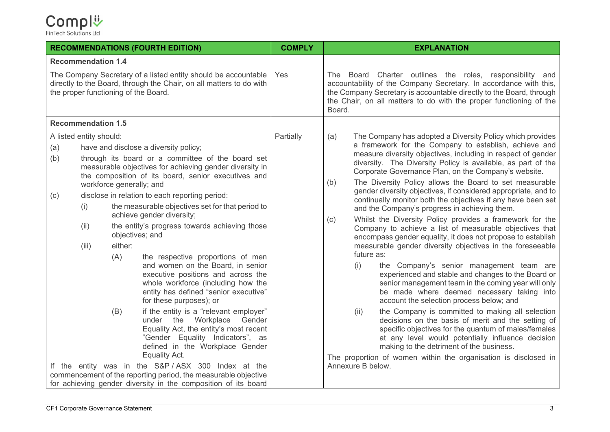#### Compl<sup>1</sup>

| <b>RECOMMENDATIONS (FOURTH EDITION)</b>                                                                                                                                       |                                                 |                                                   |                                                                                                                                                                                                                                                                                                                                                                                                                                                                                                                                                                                                                                                                                                                                                                                                                                                                                                                                                                                   | <b>COMPLY</b> | <b>EXPLANATION</b>                                                                                                                                                                                                                                                                                                                                                                                                                                                                                                                                                                                                                                                                                                                                                                                                                                                                                                                                                                                                                                                                                                                                                                                                                                                                                                                                                                                                                                                          |
|-------------------------------------------------------------------------------------------------------------------------------------------------------------------------------|-------------------------------------------------|---------------------------------------------------|-----------------------------------------------------------------------------------------------------------------------------------------------------------------------------------------------------------------------------------------------------------------------------------------------------------------------------------------------------------------------------------------------------------------------------------------------------------------------------------------------------------------------------------------------------------------------------------------------------------------------------------------------------------------------------------------------------------------------------------------------------------------------------------------------------------------------------------------------------------------------------------------------------------------------------------------------------------------------------------|---------------|-----------------------------------------------------------------------------------------------------------------------------------------------------------------------------------------------------------------------------------------------------------------------------------------------------------------------------------------------------------------------------------------------------------------------------------------------------------------------------------------------------------------------------------------------------------------------------------------------------------------------------------------------------------------------------------------------------------------------------------------------------------------------------------------------------------------------------------------------------------------------------------------------------------------------------------------------------------------------------------------------------------------------------------------------------------------------------------------------------------------------------------------------------------------------------------------------------------------------------------------------------------------------------------------------------------------------------------------------------------------------------------------------------------------------------------------------------------------------------|
| <b>Recommendation 1.4</b>                                                                                                                                                     |                                                 |                                                   |                                                                                                                                                                                                                                                                                                                                                                                                                                                                                                                                                                                                                                                                                                                                                                                                                                                                                                                                                                                   |               |                                                                                                                                                                                                                                                                                                                                                                                                                                                                                                                                                                                                                                                                                                                                                                                                                                                                                                                                                                                                                                                                                                                                                                                                                                                                                                                                                                                                                                                                             |
| The Company Secretary of a listed entity should be accountable<br>directly to the Board, through the Chair, on all matters to do with<br>the proper functioning of the Board. |                                                 |                                                   |                                                                                                                                                                                                                                                                                                                                                                                                                                                                                                                                                                                                                                                                                                                                                                                                                                                                                                                                                                                   | Yes           | The Board Charter outlines the roles, responsibility and<br>accountability of the Company Secretary. In accordance with this,<br>the Company Secretary is accountable directly to the Board, through<br>the Chair, on all matters to do with the proper functioning of the<br>Board.                                                                                                                                                                                                                                                                                                                                                                                                                                                                                                                                                                                                                                                                                                                                                                                                                                                                                                                                                                                                                                                                                                                                                                                        |
|                                                                                                                                                                               | <b>Recommendation 1.5</b>                       |                                                   |                                                                                                                                                                                                                                                                                                                                                                                                                                                                                                                                                                                                                                                                                                                                                                                                                                                                                                                                                                                   |               |                                                                                                                                                                                                                                                                                                                                                                                                                                                                                                                                                                                                                                                                                                                                                                                                                                                                                                                                                                                                                                                                                                                                                                                                                                                                                                                                                                                                                                                                             |
| (a)<br>(b)<br>(c)                                                                                                                                                             | A listed entity should:<br>(i)<br>(ii)<br>(iii) | workforce generally; and<br>either:<br>(A)<br>(B) | have and disclose a diversity policy;<br>through its board or a committee of the board set<br>measurable objectives for achieving gender diversity in<br>the composition of its board, senior executives and<br>disclose in relation to each reporting period:<br>the measurable objectives set for that period to<br>achieve gender diversity;<br>the entity's progress towards achieving those<br>objectives; and<br>the respective proportions of men<br>and women on the Board, in senior<br>executive positions and across the<br>whole workforce (including how the<br>entity has defined "senior executive"<br>for these purposes); or<br>if the entity is a "relevant employer"<br>under the Workplace<br>Gender<br>Equality Act, the entity's most recent<br>"Gender Equality Indicators", as<br>defined in the Workplace Gender<br>Equality Act.<br>If the entity was in the S&P/ASX 300 Index at the<br>commencement of the reporting period, the measurable objective | Partially     | The Company has adopted a Diversity Policy which provides<br>(a)<br>a framework for the Company to establish, achieve and<br>measure diversity objectives, including in respect of gender<br>diversity. The Diversity Policy is available, as part of the<br>Corporate Governance Plan, on the Company's website.<br>The Diversity Policy allows the Board to set measurable<br>(b)<br>gender diversity objectives, if considered appropriate, and to<br>continually monitor both the objectives if any have been set<br>and the Company's progress in achieving them.<br>Whilst the Diversity Policy provides a framework for the<br>(c)<br>Company to achieve a list of measurable objectives that<br>encompass gender equality, it does not propose to establish<br>measurable gender diversity objectives in the foreseeable<br>future as:<br>(i)<br>the Company's senior management team are<br>experienced and stable and changes to the Board or<br>senior management team in the coming year will only<br>be made where deemed necessary taking into<br>account the selection process below; and<br>the Company is committed to making all selection<br>(ii)<br>decisions on the basis of merit and the setting of<br>specific objectives for the quantum of males/females<br>at any level would potentially influence decision<br>making to the detriment of the business.<br>The proportion of women within the organisation is disclosed in<br>Annexure B below. |
|                                                                                                                                                                               |                                                 |                                                   | for achieving gender diversity in the composition of its board                                                                                                                                                                                                                                                                                                                                                                                                                                                                                                                                                                                                                                                                                                                                                                                                                                                                                                                    |               |                                                                                                                                                                                                                                                                                                                                                                                                                                                                                                                                                                                                                                                                                                                                                                                                                                                                                                                                                                                                                                                                                                                                                                                                                                                                                                                                                                                                                                                                             |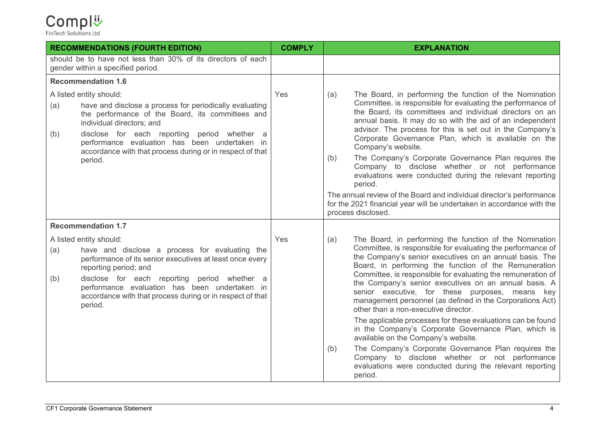| <b>RECOMMENDATIONS (FOURTH EDITION)</b>                                                                                                                                                                                                                                                                                                                    | <b>COMPLY</b> | <b>EXPLANATION</b>                                                                                                                                                                                                                                                                                                                                                                                                                                                                                                                                                                                                                                                                                                                                               |
|------------------------------------------------------------------------------------------------------------------------------------------------------------------------------------------------------------------------------------------------------------------------------------------------------------------------------------------------------------|---------------|------------------------------------------------------------------------------------------------------------------------------------------------------------------------------------------------------------------------------------------------------------------------------------------------------------------------------------------------------------------------------------------------------------------------------------------------------------------------------------------------------------------------------------------------------------------------------------------------------------------------------------------------------------------------------------------------------------------------------------------------------------------|
| should be to have not less than 30% of its directors of each<br>gender within a specified period.                                                                                                                                                                                                                                                          |               |                                                                                                                                                                                                                                                                                                                                                                                                                                                                                                                                                                                                                                                                                                                                                                  |
| <b>Recommendation 1.6</b>                                                                                                                                                                                                                                                                                                                                  |               |                                                                                                                                                                                                                                                                                                                                                                                                                                                                                                                                                                                                                                                                                                                                                                  |
| A listed entity should:<br>have and disclose a process for periodically evaluating<br>(a)<br>the performance of the Board, its committees and<br>individual directors; and<br>disclose for each reporting period whether a<br>(b)<br>performance evaluation has been undertaken in<br>accordance with that process during or in respect of that<br>period. | Yes           | The Board, in performing the function of the Nomination<br>(a)<br>Committee, is responsible for evaluating the performance of<br>the Board, its committees and individual directors on an<br>annual basis. It may do so with the aid of an independent<br>advisor. The process for this is set out in the Company's<br>Corporate Governance Plan, which is available on the<br>Company's website.<br>The Company's Corporate Governance Plan requires the<br>(b)<br>Company to disclose whether or not performance<br>evaluations were conducted during the relevant reporting<br>period.<br>The annual review of the Board and individual director's performance<br>for the 2021 financial year will be undertaken in accordance with the<br>process disclosed. |
| <b>Recommendation 1.7</b>                                                                                                                                                                                                                                                                                                                                  |               |                                                                                                                                                                                                                                                                                                                                                                                                                                                                                                                                                                                                                                                                                                                                                                  |
| A listed entity should:                                                                                                                                                                                                                                                                                                                                    | Yes           | The Board, in performing the function of the Nomination<br>(a)                                                                                                                                                                                                                                                                                                                                                                                                                                                                                                                                                                                                                                                                                                   |
| have and disclose a process for evaluating the<br>(a)<br>performance of its senior executives at least once every<br>reporting period; and<br>disclose for each reporting period whether a<br>(b)<br>performance evaluation has been undertaken in<br>accordance with that process during or in respect of that<br>period.                                 |               | Committee, is responsible for evaluating the performance of<br>the Company's senior executives on an annual basis. The<br>Board, in performing the function of the Remuneration<br>Committee, is responsible for evaluating the remuneration of<br>the Company's senior executives on an annual basis. A<br>senior executive, for these purposes, means key<br>management personnel (as defined in the Corporations Act)<br>other than a non-executive director.                                                                                                                                                                                                                                                                                                 |
|                                                                                                                                                                                                                                                                                                                                                            |               | The applicable processes for these evaluations can be found<br>in the Company's Corporate Governance Plan, which is<br>available on the Company's website.                                                                                                                                                                                                                                                                                                                                                                                                                                                                                                                                                                                                       |
|                                                                                                                                                                                                                                                                                                                                                            |               | The Company's Corporate Governance Plan requires the<br>(b)<br>Company to disclose whether or not performance<br>evaluations were conducted during the relevant reporting<br>period.                                                                                                                                                                                                                                                                                                                                                                                                                                                                                                                                                                             |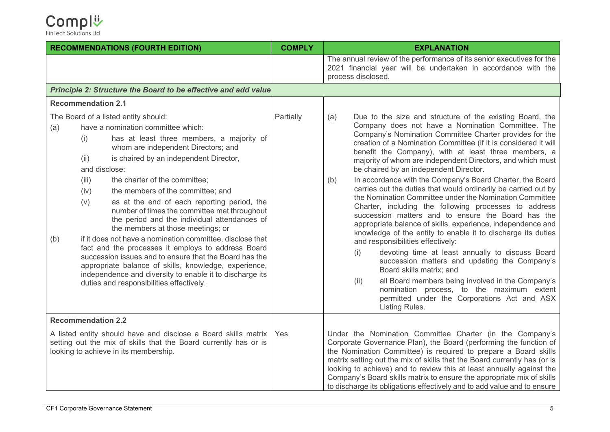|                                                                                                                                                                             | <b>RECOMMENDATIONS (FOURTH EDITION)</b>                                                                                                                                                                                                                                                                                                                                                                                                                                                                                                                                                                                                                                                                                                                                                                                                                                  | <b>COMPLY</b> | <b>EXPLANATION</b>                                                                                                                                                                                                                                                                                                                                                                                                                                                                                                                                                                                                                                                                                                                                                                                                                                                                                                                                                                                                                                                                                                                                                                                                         |
|-----------------------------------------------------------------------------------------------------------------------------------------------------------------------------|--------------------------------------------------------------------------------------------------------------------------------------------------------------------------------------------------------------------------------------------------------------------------------------------------------------------------------------------------------------------------------------------------------------------------------------------------------------------------------------------------------------------------------------------------------------------------------------------------------------------------------------------------------------------------------------------------------------------------------------------------------------------------------------------------------------------------------------------------------------------------|---------------|----------------------------------------------------------------------------------------------------------------------------------------------------------------------------------------------------------------------------------------------------------------------------------------------------------------------------------------------------------------------------------------------------------------------------------------------------------------------------------------------------------------------------------------------------------------------------------------------------------------------------------------------------------------------------------------------------------------------------------------------------------------------------------------------------------------------------------------------------------------------------------------------------------------------------------------------------------------------------------------------------------------------------------------------------------------------------------------------------------------------------------------------------------------------------------------------------------------------------|
|                                                                                                                                                                             |                                                                                                                                                                                                                                                                                                                                                                                                                                                                                                                                                                                                                                                                                                                                                                                                                                                                          |               | The annual review of the performance of its senior executives for the<br>2021 financial year will be undertaken in accordance with the<br>process disclosed.                                                                                                                                                                                                                                                                                                                                                                                                                                                                                                                                                                                                                                                                                                                                                                                                                                                                                                                                                                                                                                                               |
|                                                                                                                                                                             | Principle 2: Structure the Board to be effective and add value                                                                                                                                                                                                                                                                                                                                                                                                                                                                                                                                                                                                                                                                                                                                                                                                           |               |                                                                                                                                                                                                                                                                                                                                                                                                                                                                                                                                                                                                                                                                                                                                                                                                                                                                                                                                                                                                                                                                                                                                                                                                                            |
|                                                                                                                                                                             | <b>Recommendation 2.1</b>                                                                                                                                                                                                                                                                                                                                                                                                                                                                                                                                                                                                                                                                                                                                                                                                                                                |               |                                                                                                                                                                                                                                                                                                                                                                                                                                                                                                                                                                                                                                                                                                                                                                                                                                                                                                                                                                                                                                                                                                                                                                                                                            |
| (a)<br>(b)                                                                                                                                                                  | The Board of a listed entity should:<br>have a nomination committee which:<br>has at least three members, a majority of<br>(i)<br>whom are independent Directors; and<br>(ii)<br>is chaired by an independent Director,<br>and disclose:<br>the charter of the committee;<br>(iii)<br>the members of the committee; and<br>(iv)<br>(v)<br>as at the end of each reporting period, the<br>number of times the committee met throughout<br>the period and the individual attendances of<br>the members at those meetings; or<br>if it does not have a nomination committee, disclose that<br>fact and the processes it employs to address Board<br>succession issues and to ensure that the Board has the<br>appropriate balance of skills, knowledge, experience,<br>independence and diversity to enable it to discharge its<br>duties and responsibilities effectively. | Partially     | Due to the size and structure of the existing Board, the<br>(a)<br>Company does not have a Nomination Committee. The<br>Company's Nomination Committee Charter provides for the<br>creation of a Nomination Committee (if it is considered it will<br>benefit the Company), with at least three members, a<br>majority of whom are independent Directors, and which must<br>be chaired by an independent Director.<br>In accordance with the Company's Board Charter, the Board<br>(b)<br>carries out the duties that would ordinarily be carried out by<br>the Nomination Committee under the Nomination Committee<br>Charter, including the following processes to address<br>succession matters and to ensure the Board has the<br>appropriate balance of skills, experience, independence and<br>knowledge of the entity to enable it to discharge its duties<br>and responsibilities effectively:<br>devoting time at least annually to discuss Board<br>(i)<br>succession matters and updating the Company's<br>Board skills matrix; and<br>all Board members being involved in the Company's<br>(ii)<br>nomination process, to the maximum extent<br>permitted under the Corporations Act and ASX<br>Listing Rules. |
|                                                                                                                                                                             | <b>Recommendation 2.2</b>                                                                                                                                                                                                                                                                                                                                                                                                                                                                                                                                                                                                                                                                                                                                                                                                                                                |               |                                                                                                                                                                                                                                                                                                                                                                                                                                                                                                                                                                                                                                                                                                                                                                                                                                                                                                                                                                                                                                                                                                                                                                                                                            |
| A listed entity should have and disclose a Board skills matrix<br>setting out the mix of skills that the Board currently has or is<br>looking to achieve in its membership. |                                                                                                                                                                                                                                                                                                                                                                                                                                                                                                                                                                                                                                                                                                                                                                                                                                                                          | Yes           | Under the Nomination Committee Charter (in the Company's<br>Corporate Governance Plan), the Board (performing the function of<br>the Nomination Committee) is required to prepare a Board skills<br>matrix setting out the mix of skills that the Board currently has (or is<br>looking to achieve) and to review this at least annually against the<br>Company's Board skills matrix to ensure the appropriate mix of skills<br>to discharge its obligations effectively and to add value and to ensure                                                                                                                                                                                                                                                                                                                                                                                                                                                                                                                                                                                                                                                                                                                   |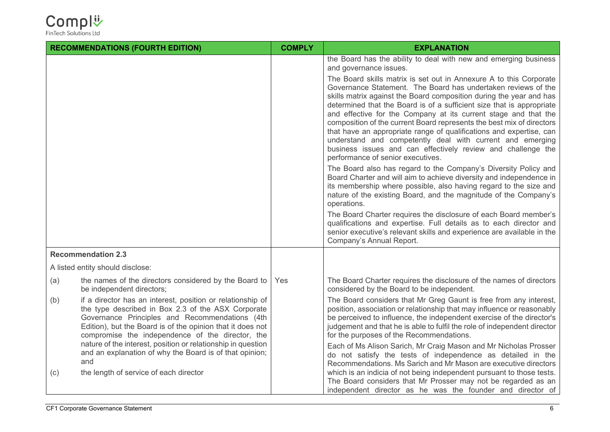

|     | <b>RECOMMENDATIONS (FOURTH EDITION)</b>                                                                                                                                                                                                                                              | <b>COMPLY</b> | <b>EXPLANATION</b>                                                                                                                                                                                                                                                                                                                                                                                                                                                                                                                                                                                                                                                       |
|-----|--------------------------------------------------------------------------------------------------------------------------------------------------------------------------------------------------------------------------------------------------------------------------------------|---------------|--------------------------------------------------------------------------------------------------------------------------------------------------------------------------------------------------------------------------------------------------------------------------------------------------------------------------------------------------------------------------------------------------------------------------------------------------------------------------------------------------------------------------------------------------------------------------------------------------------------------------------------------------------------------------|
|     |                                                                                                                                                                                                                                                                                      |               | the Board has the ability to deal with new and emerging business<br>and governance issues.                                                                                                                                                                                                                                                                                                                                                                                                                                                                                                                                                                               |
|     |                                                                                                                                                                                                                                                                                      |               | The Board skills matrix is set out in Annexure A to this Corporate<br>Governance Statement. The Board has undertaken reviews of the<br>skills matrix against the Board composition during the year and has<br>determined that the Board is of a sufficient size that is appropriate<br>and effective for the Company at its current stage and that the<br>composition of the current Board represents the best mix of directors<br>that have an appropriate range of qualifications and expertise, can<br>understand and competently deal with current and emerging<br>business issues and can effectively review and challenge the<br>performance of senior executives. |
|     |                                                                                                                                                                                                                                                                                      |               | The Board also has regard to the Company's Diversity Policy and<br>Board Charter and will aim to achieve diversity and independence in<br>its membership where possible, also having regard to the size and<br>nature of the existing Board, and the magnitude of the Company's<br>operations.                                                                                                                                                                                                                                                                                                                                                                           |
|     |                                                                                                                                                                                                                                                                                      |               | The Board Charter requires the disclosure of each Board member's<br>qualifications and expertise. Full details as to each director and<br>senior executive's relevant skills and experience are available in the<br>Company's Annual Report.                                                                                                                                                                                                                                                                                                                                                                                                                             |
|     | <b>Recommendation 2.3</b>                                                                                                                                                                                                                                                            |               |                                                                                                                                                                                                                                                                                                                                                                                                                                                                                                                                                                                                                                                                          |
|     | A listed entity should disclose:                                                                                                                                                                                                                                                     |               |                                                                                                                                                                                                                                                                                                                                                                                                                                                                                                                                                                                                                                                                          |
| (a) | the names of the directors considered by the Board to<br>be independent directors;                                                                                                                                                                                                   | Yes           | The Board Charter requires the disclosure of the names of directors<br>considered by the Board to be independent.                                                                                                                                                                                                                                                                                                                                                                                                                                                                                                                                                        |
| (b) | if a director has an interest, position or relationship of<br>the type described in Box 2.3 of the ASX Corporate<br>Governance Principles and Recommendations (4th<br>Edition), but the Board is of the opinion that it does not<br>compromise the independence of the director, the |               | The Board considers that Mr Greg Gaunt is free from any interest,<br>position, association or relationship that may influence or reasonably<br>be perceived to influence, the independent exercise of the director's<br>judgement and that he is able to fulfil the role of independent director<br>for the purposes of the Recommendations.                                                                                                                                                                                                                                                                                                                             |
|     | nature of the interest, position or relationship in question<br>and an explanation of why the Board is of that opinion;<br>and                                                                                                                                                       |               | Each of Ms Alison Sarich, Mr Craig Mason and Mr Nicholas Prosser<br>do not satisfy the tests of independence as detailed in the<br>Recommendations. Ms Sarich and Mr Mason are executive directors                                                                                                                                                                                                                                                                                                                                                                                                                                                                       |
| (c) | the length of service of each director                                                                                                                                                                                                                                               |               | which is an indicia of not being independent pursuant to those tests.<br>The Board considers that Mr Prosser may not be regarded as an<br>independent director as he was the founder and director of                                                                                                                                                                                                                                                                                                                                                                                                                                                                     |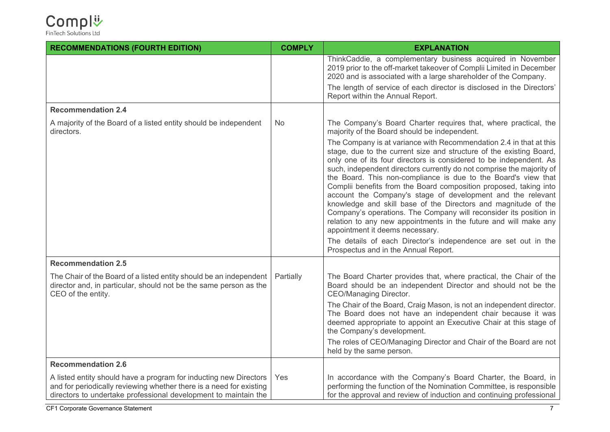| <b>RECOMMENDATIONS (FOURTH EDITION)</b>                                                                                                                                                                     | <b>COMPLY</b> | <b>EXPLANATION</b>                                                                                                                                                                                                                                                                                                                                                                                                                                                                                                                                                                                                                                                                                                                           |
|-------------------------------------------------------------------------------------------------------------------------------------------------------------------------------------------------------------|---------------|----------------------------------------------------------------------------------------------------------------------------------------------------------------------------------------------------------------------------------------------------------------------------------------------------------------------------------------------------------------------------------------------------------------------------------------------------------------------------------------------------------------------------------------------------------------------------------------------------------------------------------------------------------------------------------------------------------------------------------------------|
|                                                                                                                                                                                                             |               | ThinkCaddie, a complementary business acquired in November<br>2019 prior to the off-market takeover of Complii Limited in December<br>2020 and is associated with a large shareholder of the Company.                                                                                                                                                                                                                                                                                                                                                                                                                                                                                                                                        |
|                                                                                                                                                                                                             |               | The length of service of each director is disclosed in the Directors'<br>Report within the Annual Report.                                                                                                                                                                                                                                                                                                                                                                                                                                                                                                                                                                                                                                    |
| <b>Recommendation 2.4</b>                                                                                                                                                                                   |               |                                                                                                                                                                                                                                                                                                                                                                                                                                                                                                                                                                                                                                                                                                                                              |
| A majority of the Board of a listed entity should be independent<br>directors.                                                                                                                              | No.           | The Company's Board Charter requires that, where practical, the<br>majority of the Board should be independent.                                                                                                                                                                                                                                                                                                                                                                                                                                                                                                                                                                                                                              |
|                                                                                                                                                                                                             |               | The Company is at variance with Recommendation 2.4 in that at this<br>stage, due to the current size and structure of the existing Board,<br>only one of its four directors is considered to be independent. As<br>such, independent directors currently do not comprise the majority of<br>the Board. This non-compliance is due to the Board's view that<br>Complii benefits from the Board composition proposed, taking into<br>account the Company's stage of development and the relevant<br>knowledge and skill base of the Directors and magnitude of the<br>Company's operations. The Company will reconsider its position in<br>relation to any new appointments in the future and will make any<br>appointment it deems necessary. |
|                                                                                                                                                                                                             |               | The details of each Director's independence are set out in the<br>Prospectus and in the Annual Report.                                                                                                                                                                                                                                                                                                                                                                                                                                                                                                                                                                                                                                       |
| <b>Recommendation 2.5</b>                                                                                                                                                                                   |               |                                                                                                                                                                                                                                                                                                                                                                                                                                                                                                                                                                                                                                                                                                                                              |
| The Chair of the Board of a listed entity should be an independent<br>director and, in particular, should not be the same person as the<br>CEO of the entity.                                               | Partially     | The Board Charter provides that, where practical, the Chair of the<br>Board should be an independent Director and should not be the<br><b>CEO/Managing Director.</b>                                                                                                                                                                                                                                                                                                                                                                                                                                                                                                                                                                         |
|                                                                                                                                                                                                             |               | The Chair of the Board, Craig Mason, is not an independent director.<br>The Board does not have an independent chair because it was<br>deemed appropriate to appoint an Executive Chair at this stage of<br>the Company's development.                                                                                                                                                                                                                                                                                                                                                                                                                                                                                                       |
|                                                                                                                                                                                                             |               | The roles of CEO/Managing Director and Chair of the Board are not<br>held by the same person.                                                                                                                                                                                                                                                                                                                                                                                                                                                                                                                                                                                                                                                |
| <b>Recommendation 2.6</b>                                                                                                                                                                                   |               |                                                                                                                                                                                                                                                                                                                                                                                                                                                                                                                                                                                                                                                                                                                                              |
| A listed entity should have a program for inducting new Directors<br>and for periodically reviewing whether there is a need for existing<br>directors to undertake professional development to maintain the | Yes           | In accordance with the Company's Board Charter, the Board, in<br>performing the function of the Nomination Committee, is responsible<br>for the approval and review of induction and continuing professional                                                                                                                                                                                                                                                                                                                                                                                                                                                                                                                                 |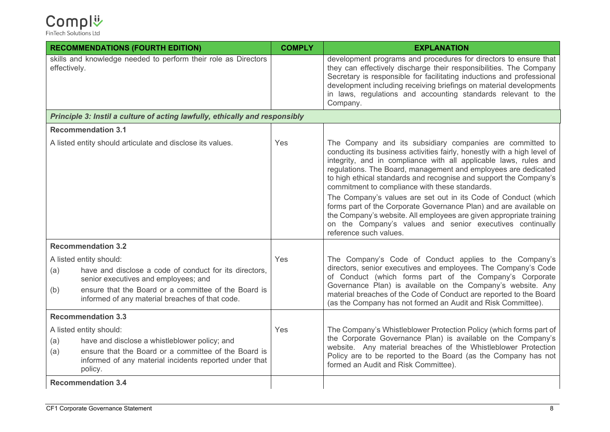| <b>RECOMMENDATIONS (FOURTH EDITION)</b>                                                                                                                                                                                 | <b>COMPLY</b> | <b>EXPLANATION</b>                                                                                                                                                                                                                                                                                                                                                                                 |
|-------------------------------------------------------------------------------------------------------------------------------------------------------------------------------------------------------------------------|---------------|----------------------------------------------------------------------------------------------------------------------------------------------------------------------------------------------------------------------------------------------------------------------------------------------------------------------------------------------------------------------------------------------------|
| skills and knowledge needed to perform their role as Directors<br>effectively.                                                                                                                                          |               | development programs and procedures for directors to ensure that<br>they can effectively discharge their responsibilities. The Company<br>Secretary is responsible for facilitating inductions and professional<br>development including receiving briefings on material developments<br>in laws, regulations and accounting standards relevant to the<br>Company.                                 |
| Principle 3: Instil a culture of acting lawfully, ethically and responsibly                                                                                                                                             |               |                                                                                                                                                                                                                                                                                                                                                                                                    |
| <b>Recommendation 3.1</b>                                                                                                                                                                                               |               |                                                                                                                                                                                                                                                                                                                                                                                                    |
| A listed entity should articulate and disclose its values.                                                                                                                                                              | Yes           | The Company and its subsidiary companies are committed to<br>conducting its business activities fairly, honestly with a high level of<br>integrity, and in compliance with all applicable laws, rules and<br>regulations. The Board, management and employees are dedicated<br>to high ethical standards and recognise and support the Company's<br>commitment to compliance with these standards. |
|                                                                                                                                                                                                                         |               | The Company's values are set out in its Code of Conduct (which<br>forms part of the Corporate Governance Plan) and are available on<br>the Company's website. All employees are given appropriate training<br>on the Company's values and senior executives continually<br>reference such values.                                                                                                  |
| <b>Recommendation 3.2</b>                                                                                                                                                                                               |               |                                                                                                                                                                                                                                                                                                                                                                                                    |
| A listed entity should:                                                                                                                                                                                                 | Yes           | The Company's Code of Conduct applies to the Company's                                                                                                                                                                                                                                                                                                                                             |
| have and disclose a code of conduct for its directors,<br>(a)<br>senior executives and employees; and<br>ensure that the Board or a committee of the Board is<br>(b)<br>informed of any material breaches of that code. |               | directors, senior executives and employees. The Company's Code<br>of Conduct (which forms part of the Company's Corporate<br>Governance Plan) is available on the Company's website. Any<br>material breaches of the Code of Conduct are reported to the Board<br>(as the Company has not formed an Audit and Risk Committee).                                                                     |
| <b>Recommendation 3.3</b>                                                                                                                                                                                               |               |                                                                                                                                                                                                                                                                                                                                                                                                    |
| A listed entity should:                                                                                                                                                                                                 | Yes           | The Company's Whistleblower Protection Policy (which forms part of                                                                                                                                                                                                                                                                                                                                 |
| have and disclose a whistleblower policy; and<br>(a)                                                                                                                                                                    |               | the Corporate Governance Plan) is available on the Company's<br>website. Any material breaches of the Whistleblower Protection                                                                                                                                                                                                                                                                     |
| ensure that the Board or a committee of the Board is<br>(a)<br>informed of any material incidents reported under that<br>policy.                                                                                        |               | Policy are to be reported to the Board (as the Company has not<br>formed an Audit and Risk Committee).                                                                                                                                                                                                                                                                                             |
| <b>Recommendation 3.4</b>                                                                                                                                                                                               |               |                                                                                                                                                                                                                                                                                                                                                                                                    |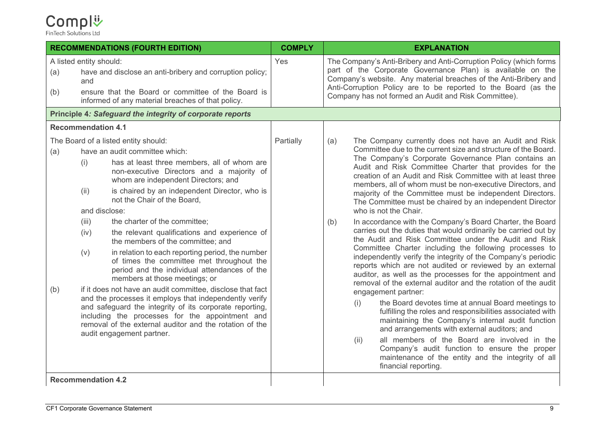#### Compl<sup>1</sup>

|            |                                                      | <b>RECOMMENDATIONS (FOURTH EDITION)</b>                                                                                                                                                                                                                                                                                                                                                                                                                                                                                                                                                                                                                                                                                                                                                                                                                                                                                          | <b>COMPLY</b> | <b>EXPLANATION</b>                                                                                                                                                                                                                                                                                                                                                                                                                                                                                                                                                                                                                                                                                                                                                                                                                                                                                                                                                                                                                                                                                                                                                                                                                                                                                                                                                                                                                                                                          |
|------------|------------------------------------------------------|----------------------------------------------------------------------------------------------------------------------------------------------------------------------------------------------------------------------------------------------------------------------------------------------------------------------------------------------------------------------------------------------------------------------------------------------------------------------------------------------------------------------------------------------------------------------------------------------------------------------------------------------------------------------------------------------------------------------------------------------------------------------------------------------------------------------------------------------------------------------------------------------------------------------------------|---------------|---------------------------------------------------------------------------------------------------------------------------------------------------------------------------------------------------------------------------------------------------------------------------------------------------------------------------------------------------------------------------------------------------------------------------------------------------------------------------------------------------------------------------------------------------------------------------------------------------------------------------------------------------------------------------------------------------------------------------------------------------------------------------------------------------------------------------------------------------------------------------------------------------------------------------------------------------------------------------------------------------------------------------------------------------------------------------------------------------------------------------------------------------------------------------------------------------------------------------------------------------------------------------------------------------------------------------------------------------------------------------------------------------------------------------------------------------------------------------------------------|
| (a)<br>(b) | A listed entity should:<br>and                       | have and disclose an anti-bribery and corruption policy;<br>ensure that the Board or committee of the Board is<br>informed of any material breaches of that policy.                                                                                                                                                                                                                                                                                                                                                                                                                                                                                                                                                                                                                                                                                                                                                              | Yes           | The Company's Anti-Bribery and Anti-Corruption Policy (which forms<br>part of the Corporate Governance Plan) is available on the<br>Company's website. Any material breaches of the Anti-Bribery and<br>Anti-Corruption Policy are to be reported to the Board (as the<br>Company has not formed an Audit and Risk Committee).                                                                                                                                                                                                                                                                                                                                                                                                                                                                                                                                                                                                                                                                                                                                                                                                                                                                                                                                                                                                                                                                                                                                                              |
|            |                                                      | Principle 4: Safeguard the integrity of corporate reports                                                                                                                                                                                                                                                                                                                                                                                                                                                                                                                                                                                                                                                                                                                                                                                                                                                                        |               |                                                                                                                                                                                                                                                                                                                                                                                                                                                                                                                                                                                                                                                                                                                                                                                                                                                                                                                                                                                                                                                                                                                                                                                                                                                                                                                                                                                                                                                                                             |
|            | <b>Recommendation 4.1</b>                            |                                                                                                                                                                                                                                                                                                                                                                                                                                                                                                                                                                                                                                                                                                                                                                                                                                                                                                                                  |               |                                                                                                                                                                                                                                                                                                                                                                                                                                                                                                                                                                                                                                                                                                                                                                                                                                                                                                                                                                                                                                                                                                                                                                                                                                                                                                                                                                                                                                                                                             |
| (a)<br>(b) | (i)<br>(ii)<br>and disclose:<br>(iii)<br>(iv)<br>(v) | The Board of a listed entity should:<br>have an audit committee which:<br>has at least three members, all of whom are<br>non-executive Directors and a majority of<br>whom are independent Directors; and<br>is chaired by an independent Director, who is<br>not the Chair of the Board,<br>the charter of the committee;<br>the relevant qualifications and experience of<br>the members of the committee; and<br>in relation to each reporting period, the number<br>of times the committee met throughout the<br>period and the individual attendances of the<br>members at those meetings; or<br>if it does not have an audit committee, disclose that fact<br>and the processes it employs that independently verify<br>and safeguard the integrity of its corporate reporting,<br>including the processes for the appointment and<br>removal of the external auditor and the rotation of the<br>audit engagement partner. | Partially     | (a)<br>The Company currently does not have an Audit and Risk<br>Committee due to the current size and structure of the Board.<br>The Company's Corporate Governance Plan contains an<br>Audit and Risk Committee Charter that provides for the<br>creation of an Audit and Risk Committee with at least three<br>members, all of whom must be non-executive Directors, and<br>majority of the Committee must be independent Directors.<br>The Committee must be chaired by an independent Director<br>who is not the Chair.<br>In accordance with the Company's Board Charter, the Board<br>(b)<br>carries out the duties that would ordinarily be carried out by<br>the Audit and Risk Committee under the Audit and Risk<br>Committee Charter including the following processes to<br>independently verify the integrity of the Company's periodic<br>reports which are not audited or reviewed by an external<br>auditor, as well as the processes for the appointment and<br>removal of the external auditor and the rotation of the audit<br>engagement partner:<br>the Board devotes time at annual Board meetings to<br>(i)<br>fulfilling the roles and responsibilities associated with<br>maintaining the Company's internal audit function<br>and arrangements with external auditors; and<br>all members of the Board are involved in the<br>(ii)<br>Company's audit function to ensure the proper<br>maintenance of the entity and the integrity of all<br>financial reporting. |
|            | <b>Recommendation 4.2</b>                            |                                                                                                                                                                                                                                                                                                                                                                                                                                                                                                                                                                                                                                                                                                                                                                                                                                                                                                                                  |               |                                                                                                                                                                                                                                                                                                                                                                                                                                                                                                                                                                                                                                                                                                                                                                                                                                                                                                                                                                                                                                                                                                                                                                                                                                                                                                                                                                                                                                                                                             |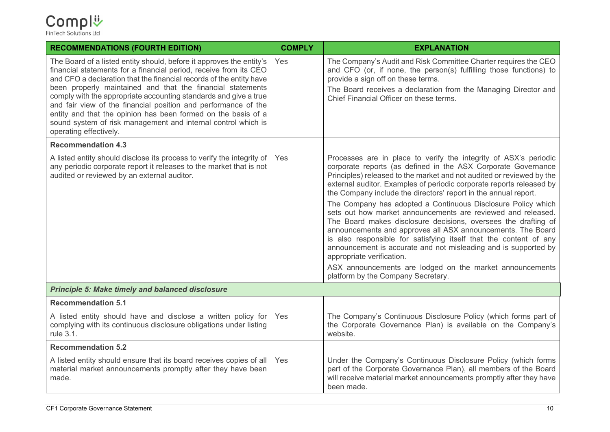| <b>RECOMMENDATIONS (FOURTH EDITION)</b>                                                                                                                                                                                                                                                                                                                                                                                                                                                                                                                                          | <b>COMPLY</b> | <b>EXPLANATION</b>                                                                                                                                                                                                                                                                                                                                                                                                                                                                                                                                                                                                                                                                                                                                                                                                                                                                            |
|----------------------------------------------------------------------------------------------------------------------------------------------------------------------------------------------------------------------------------------------------------------------------------------------------------------------------------------------------------------------------------------------------------------------------------------------------------------------------------------------------------------------------------------------------------------------------------|---------------|-----------------------------------------------------------------------------------------------------------------------------------------------------------------------------------------------------------------------------------------------------------------------------------------------------------------------------------------------------------------------------------------------------------------------------------------------------------------------------------------------------------------------------------------------------------------------------------------------------------------------------------------------------------------------------------------------------------------------------------------------------------------------------------------------------------------------------------------------------------------------------------------------|
| The Board of a listed entity should, before it approves the entity's<br>financial statements for a financial period, receive from its CEO<br>and CFO a declaration that the financial records of the entity have<br>been properly maintained and that the financial statements<br>comply with the appropriate accounting standards and give a true<br>and fair view of the financial position and performance of the<br>entity and that the opinion has been formed on the basis of a<br>sound system of risk management and internal control which is<br>operating effectively. | Yes           | The Company's Audit and Risk Committee Charter requires the CEO<br>and CFO (or, if none, the person(s) fulfilling those functions) to<br>provide a sign off on these terms.<br>The Board receives a declaration from the Managing Director and<br>Chief Financial Officer on these terms.                                                                                                                                                                                                                                                                                                                                                                                                                                                                                                                                                                                                     |
| <b>Recommendation 4.3</b>                                                                                                                                                                                                                                                                                                                                                                                                                                                                                                                                                        |               |                                                                                                                                                                                                                                                                                                                                                                                                                                                                                                                                                                                                                                                                                                                                                                                                                                                                                               |
| A listed entity should disclose its process to verify the integrity of<br>any periodic corporate report it releases to the market that is not<br>audited or reviewed by an external auditor.                                                                                                                                                                                                                                                                                                                                                                                     | Yes           | Processes are in place to verify the integrity of ASX's periodic<br>corporate reports (as defined in the ASX Corporate Governance<br>Principles) released to the market and not audited or reviewed by the<br>external auditor. Examples of periodic corporate reports released by<br>the Company include the directors' report in the annual report.<br>The Company has adopted a Continuous Disclosure Policy which<br>sets out how market announcements are reviewed and released.<br>The Board makes disclosure decisions, oversees the drafting of<br>announcements and approves all ASX announcements. The Board<br>is also responsible for satisfying itself that the content of any<br>announcement is accurate and not misleading and is supported by<br>appropriate verification.<br>ASX announcements are lodged on the market announcements<br>platform by the Company Secretary. |
| <b>Principle 5: Make timely and balanced disclosure</b>                                                                                                                                                                                                                                                                                                                                                                                                                                                                                                                          |               |                                                                                                                                                                                                                                                                                                                                                                                                                                                                                                                                                                                                                                                                                                                                                                                                                                                                                               |
| <b>Recommendation 5.1</b>                                                                                                                                                                                                                                                                                                                                                                                                                                                                                                                                                        |               |                                                                                                                                                                                                                                                                                                                                                                                                                                                                                                                                                                                                                                                                                                                                                                                                                                                                                               |
| A listed entity should have and disclose a written policy for<br>complying with its continuous disclosure obligations under listing<br>rule 3.1.                                                                                                                                                                                                                                                                                                                                                                                                                                 | Yes           | The Company's Continuous Disclosure Policy (which forms part of<br>the Corporate Governance Plan) is available on the Company's<br>website.                                                                                                                                                                                                                                                                                                                                                                                                                                                                                                                                                                                                                                                                                                                                                   |
| <b>Recommendation 5.2</b>                                                                                                                                                                                                                                                                                                                                                                                                                                                                                                                                                        |               |                                                                                                                                                                                                                                                                                                                                                                                                                                                                                                                                                                                                                                                                                                                                                                                                                                                                                               |
| A listed entity should ensure that its board receives copies of all<br>material market announcements promptly after they have been<br>made.                                                                                                                                                                                                                                                                                                                                                                                                                                      | Yes           | Under the Company's Continuous Disclosure Policy (which forms<br>part of the Corporate Governance Plan), all members of the Board<br>will receive material market announcements promptly after they have<br>been made.                                                                                                                                                                                                                                                                                                                                                                                                                                                                                                                                                                                                                                                                        |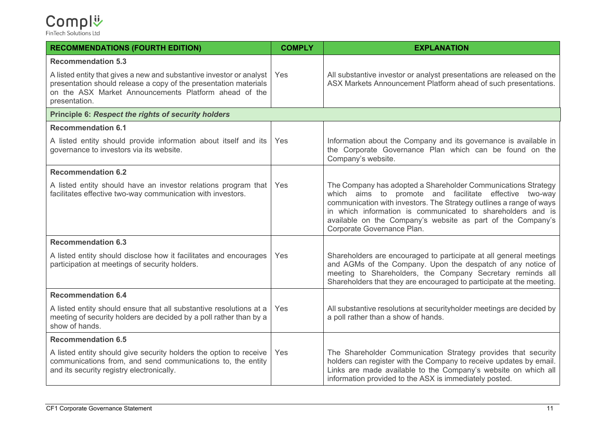| <b>RECOMMENDATIONS (FOURTH EDITION)</b>                                                                                                                                                                            | <b>COMPLY</b> | <b>EXPLANATION</b>                                                                                                                                                                                                                                                                                                                                         |
|--------------------------------------------------------------------------------------------------------------------------------------------------------------------------------------------------------------------|---------------|------------------------------------------------------------------------------------------------------------------------------------------------------------------------------------------------------------------------------------------------------------------------------------------------------------------------------------------------------------|
| <b>Recommendation 5.3</b>                                                                                                                                                                                          |               |                                                                                                                                                                                                                                                                                                                                                            |
| A listed entity that gives a new and substantive investor or analyst<br>presentation should release a copy of the presentation materials<br>on the ASX Market Announcements Platform ahead of the<br>presentation. | Yes           | All substantive investor or analyst presentations are released on the<br>ASX Markets Announcement Platform ahead of such presentations.                                                                                                                                                                                                                    |
| <b>Principle 6: Respect the rights of security holders</b>                                                                                                                                                         |               |                                                                                                                                                                                                                                                                                                                                                            |
| <b>Recommendation 6.1</b>                                                                                                                                                                                          |               |                                                                                                                                                                                                                                                                                                                                                            |
| A listed entity should provide information about itself and its<br>governance to investors via its website.                                                                                                        | Yes           | Information about the Company and its governance is available in<br>the Corporate Governance Plan which can be found on the<br>Company's website.                                                                                                                                                                                                          |
| <b>Recommendation 6.2</b>                                                                                                                                                                                          |               |                                                                                                                                                                                                                                                                                                                                                            |
| A listed entity should have an investor relations program that<br>facilitates effective two-way communication with investors.                                                                                      | Yes           | The Company has adopted a Shareholder Communications Strategy<br>which aims to promote and facilitate effective two-way<br>communication with investors. The Strategy outlines a range of ways<br>in which information is communicated to shareholders and is<br>available on the Company's website as part of the Company's<br>Corporate Governance Plan. |
| <b>Recommendation 6.3</b>                                                                                                                                                                                          |               |                                                                                                                                                                                                                                                                                                                                                            |
| A listed entity should disclose how it facilitates and encourages<br>participation at meetings of security holders.                                                                                                | Yes           | Shareholders are encouraged to participate at all general meetings<br>and AGMs of the Company. Upon the despatch of any notice of<br>meeting to Shareholders, the Company Secretary reminds all<br>Shareholders that they are encouraged to participate at the meeting.                                                                                    |
| <b>Recommendation 6.4</b>                                                                                                                                                                                          |               |                                                                                                                                                                                                                                                                                                                                                            |
| A listed entity should ensure that all substantive resolutions at a<br>meeting of security holders are decided by a poll rather than by a<br>show of hands.                                                        | Yes           | All substantive resolutions at security holder meetings are decided by<br>a poll rather than a show of hands.                                                                                                                                                                                                                                              |
| <b>Recommendation 6.5</b>                                                                                                                                                                                          |               |                                                                                                                                                                                                                                                                                                                                                            |
| A listed entity should give security holders the option to receive<br>communications from, and send communications to, the entity<br>and its security registry electronically.                                     | Yes           | The Shareholder Communication Strategy provides that security<br>holders can register with the Company to receive updates by email.<br>Links are made available to the Company's website on which all<br>information provided to the ASX is immediately posted.                                                                                            |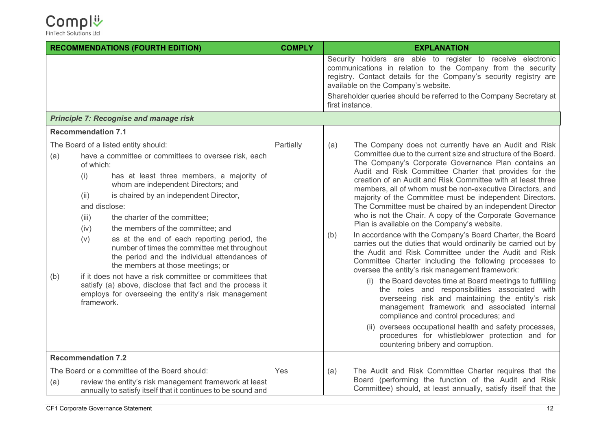

|            | <b>RECOMMENDATIONS (FOURTH EDITION)</b>                                                                                                                                                                                                                                                                                                                                                                                                                                                                                                                                                                                                                                                                                                               | <b>COMPLY</b> | <b>EXPLANATION</b>                                                                                                                                                                                                                                                                                                                                                                                                                                                                                                                                                                                                                                                                                                                                                                                                                                                                                                                                                                                                                                                                                                                                                                                                                                                                                                                           |
|------------|-------------------------------------------------------------------------------------------------------------------------------------------------------------------------------------------------------------------------------------------------------------------------------------------------------------------------------------------------------------------------------------------------------------------------------------------------------------------------------------------------------------------------------------------------------------------------------------------------------------------------------------------------------------------------------------------------------------------------------------------------------|---------------|----------------------------------------------------------------------------------------------------------------------------------------------------------------------------------------------------------------------------------------------------------------------------------------------------------------------------------------------------------------------------------------------------------------------------------------------------------------------------------------------------------------------------------------------------------------------------------------------------------------------------------------------------------------------------------------------------------------------------------------------------------------------------------------------------------------------------------------------------------------------------------------------------------------------------------------------------------------------------------------------------------------------------------------------------------------------------------------------------------------------------------------------------------------------------------------------------------------------------------------------------------------------------------------------------------------------------------------------|
|            |                                                                                                                                                                                                                                                                                                                                                                                                                                                                                                                                                                                                                                                                                                                                                       |               | Security holders are able to register to receive electronic<br>communications in relation to the Company from the security<br>registry. Contact details for the Company's security registry are<br>available on the Company's website.                                                                                                                                                                                                                                                                                                                                                                                                                                                                                                                                                                                                                                                                                                                                                                                                                                                                                                                                                                                                                                                                                                       |
|            |                                                                                                                                                                                                                                                                                                                                                                                                                                                                                                                                                                                                                                                                                                                                                       |               | Shareholder queries should be referred to the Company Secretary at<br>first instance.                                                                                                                                                                                                                                                                                                                                                                                                                                                                                                                                                                                                                                                                                                                                                                                                                                                                                                                                                                                                                                                                                                                                                                                                                                                        |
|            | <b>Principle 7: Recognise and manage risk</b>                                                                                                                                                                                                                                                                                                                                                                                                                                                                                                                                                                                                                                                                                                         |               |                                                                                                                                                                                                                                                                                                                                                                                                                                                                                                                                                                                                                                                                                                                                                                                                                                                                                                                                                                                                                                                                                                                                                                                                                                                                                                                                              |
|            | <b>Recommendation 7.1</b>                                                                                                                                                                                                                                                                                                                                                                                                                                                                                                                                                                                                                                                                                                                             |               |                                                                                                                                                                                                                                                                                                                                                                                                                                                                                                                                                                                                                                                                                                                                                                                                                                                                                                                                                                                                                                                                                                                                                                                                                                                                                                                                              |
| (a)<br>(b) | The Board of a listed entity should:<br>have a committee or committees to oversee risk, each<br>of which:<br>has at least three members, a majority of<br>(i)<br>whom are independent Directors; and<br>is chaired by an independent Director,<br>(ii)<br>and disclose:<br>the charter of the committee;<br>(iii)<br>the members of the committee; and<br>(iv)<br>(v)<br>as at the end of each reporting period, the<br>number of times the committee met throughout<br>the period and the individual attendances of<br>the members at those meetings; or<br>if it does not have a risk committee or committees that<br>satisfy (a) above, disclose that fact and the process it<br>employs for overseeing the entity's risk management<br>framework. | Partially     | (a)<br>The Company does not currently have an Audit and Risk<br>Committee due to the current size and structure of the Board.<br>The Company's Corporate Governance Plan contains an<br>Audit and Risk Committee Charter that provides for the<br>creation of an Audit and Risk Committee with at least three<br>members, all of whom must be non-executive Directors, and<br>majority of the Committee must be independent Directors.<br>The Committee must be chaired by an independent Director<br>who is not the Chair. A copy of the Corporate Governance<br>Plan is available on the Company's website.<br>In accordance with the Company's Board Charter, the Board<br>(b)<br>carries out the duties that would ordinarily be carried out by<br>the Audit and Risk Committee under the Audit and Risk<br>Committee Charter including the following processes to<br>oversee the entity's risk management framework:<br>(i) the Board devotes time at Board meetings to fulfilling<br>the roles and responsibilities associated with<br>overseeing risk and maintaining the entity's risk<br>management framework and associated internal<br>compliance and control procedures; and<br>(ii) oversees occupational health and safety processes,<br>procedures for whistleblower protection and for<br>countering bribery and corruption. |
|            | <b>Recommendation 7.2</b>                                                                                                                                                                                                                                                                                                                                                                                                                                                                                                                                                                                                                                                                                                                             |               |                                                                                                                                                                                                                                                                                                                                                                                                                                                                                                                                                                                                                                                                                                                                                                                                                                                                                                                                                                                                                                                                                                                                                                                                                                                                                                                                              |
| (a)        | The Board or a committee of the Board should:<br>review the entity's risk management framework at least<br>annually to satisfy itself that it continues to be sound and                                                                                                                                                                                                                                                                                                                                                                                                                                                                                                                                                                               | Yes           | The Audit and Risk Committee Charter requires that the<br>(a)<br>Board (performing the function of the Audit and Risk<br>Committee) should, at least annually, satisfy itself that the                                                                                                                                                                                                                                                                                                                                                                                                                                                                                                                                                                                                                                                                                                                                                                                                                                                                                                                                                                                                                                                                                                                                                       |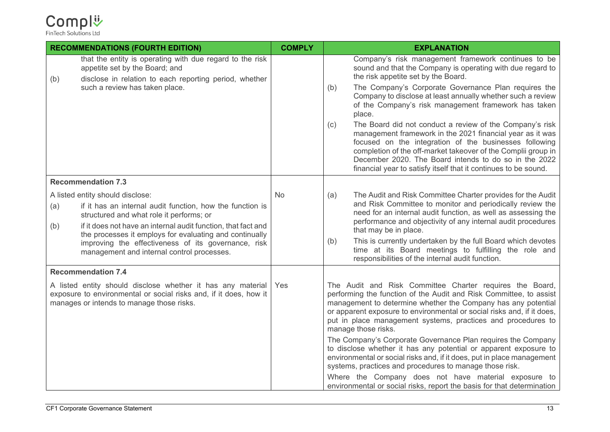| <b>RECOMMENDATIONS (FOURTH EDITION)</b>                                                                                                                                       |                                                                                                                                                                                                                                                                                                                                                                            | <b>COMPLY</b> |                                                                                                                                                                                                                                                                                                                                                                                                                                                                                                                                                                                                                                           | <b>EXPLANATION</b>                                                                                                                                                                                                                                                                                                                                                           |  |
|-------------------------------------------------------------------------------------------------------------------------------------------------------------------------------|----------------------------------------------------------------------------------------------------------------------------------------------------------------------------------------------------------------------------------------------------------------------------------------------------------------------------------------------------------------------------|---------------|-------------------------------------------------------------------------------------------------------------------------------------------------------------------------------------------------------------------------------------------------------------------------------------------------------------------------------------------------------------------------------------------------------------------------------------------------------------------------------------------------------------------------------------------------------------------------------------------------------------------------------------------|------------------------------------------------------------------------------------------------------------------------------------------------------------------------------------------------------------------------------------------------------------------------------------------------------------------------------------------------------------------------------|--|
| (b)                                                                                                                                                                           | that the entity is operating with due regard to the risk<br>appetite set by the Board; and<br>disclose in relation to each reporting period, whether<br>such a review has taken place.                                                                                                                                                                                     |               |                                                                                                                                                                                                                                                                                                                                                                                                                                                                                                                                                                                                                                           | Company's risk management framework continues to be<br>sound and that the Company is operating with due regard to<br>the risk appetite set by the Board.                                                                                                                                                                                                                     |  |
|                                                                                                                                                                               |                                                                                                                                                                                                                                                                                                                                                                            |               | (b)                                                                                                                                                                                                                                                                                                                                                                                                                                                                                                                                                                                                                                       | The Company's Corporate Governance Plan requires the<br>Company to disclose at least annually whether such a review<br>of the Company's risk management framework has taken<br>place.                                                                                                                                                                                        |  |
|                                                                                                                                                                               |                                                                                                                                                                                                                                                                                                                                                                            |               | (c)                                                                                                                                                                                                                                                                                                                                                                                                                                                                                                                                                                                                                                       | The Board did not conduct a review of the Company's risk<br>management framework in the 2021 financial year as it was<br>focused on the integration of the businesses following<br>completion of the off-market takeover of the Complii group in<br>December 2020. The Board intends to do so in the 2022<br>financial year to satisfy itself that it continues to be sound. |  |
|                                                                                                                                                                               | <b>Recommendation 7.3</b>                                                                                                                                                                                                                                                                                                                                                  |               |                                                                                                                                                                                                                                                                                                                                                                                                                                                                                                                                                                                                                                           |                                                                                                                                                                                                                                                                                                                                                                              |  |
| (a)<br>(b)                                                                                                                                                                    | A listed entity should disclose:<br>if it has an internal audit function, how the function is<br>structured and what role it performs; or<br>if it does not have an internal audit function, that fact and<br>the processes it employs for evaluating and continually<br>improving the effectiveness of its governance, risk<br>management and internal control processes. | No            | (a)                                                                                                                                                                                                                                                                                                                                                                                                                                                                                                                                                                                                                                       | The Audit and Risk Committee Charter provides for the Audit<br>and Risk Committee to monitor and periodically review the<br>need for an internal audit function, as well as assessing the<br>performance and objectivity of any internal audit procedures<br>that may be in place.                                                                                           |  |
|                                                                                                                                                                               |                                                                                                                                                                                                                                                                                                                                                                            |               | (b)                                                                                                                                                                                                                                                                                                                                                                                                                                                                                                                                                                                                                                       | This is currently undertaken by the full Board which devotes<br>time at its Board meetings to fulfilling the role and<br>responsibilities of the internal audit function.                                                                                                                                                                                                    |  |
|                                                                                                                                                                               | <b>Recommendation 7.4</b>                                                                                                                                                                                                                                                                                                                                                  |               |                                                                                                                                                                                                                                                                                                                                                                                                                                                                                                                                                                                                                                           |                                                                                                                                                                                                                                                                                                                                                                              |  |
| A listed entity should disclose whether it has any material<br>exposure to environmental or social risks and, if it does, how it<br>manages or intends to manage those risks. |                                                                                                                                                                                                                                                                                                                                                                            | Yes           | The Audit and Risk Committee Charter requires the Board,<br>performing the function of the Audit and Risk Committee, to assist<br>management to determine whether the Company has any potential<br>or apparent exposure to environmental or social risks and, if it does,<br>put in place management systems, practices and procedures to<br>manage those risks.<br>The Company's Corporate Governance Plan requires the Company<br>to disclose whether it has any potential or apparent exposure to<br>environmental or social risks and, if it does, put in place management<br>systems, practices and procedures to manage those risk. |                                                                                                                                                                                                                                                                                                                                                                              |  |
|                                                                                                                                                                               |                                                                                                                                                                                                                                                                                                                                                                            |               |                                                                                                                                                                                                                                                                                                                                                                                                                                                                                                                                                                                                                                           | Where the Company does not have material exposure to<br>environmental or social risks, report the basis for that determination                                                                                                                                                                                                                                               |  |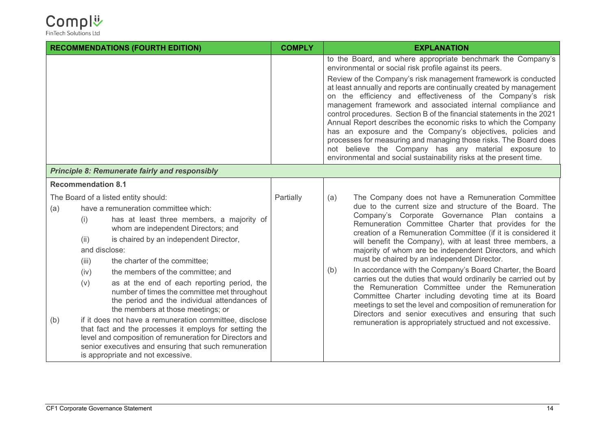

| <b>RECOMMENDATIONS (FOURTH EDITION)</b>               |                                                      | <b>COMPLY</b>                                                                                                                                                                                                                                                                                                                                                                                                                                                                                                                                                                                                                                                                                                                                     | <b>EXPLANATION</b> |                                                                                                                                                                                                                                                                                                                                                                                                                                                                                                                                                                                                                                                                                                                                                                                                                                                                                                                      |  |  |  |
|-------------------------------------------------------|------------------------------------------------------|---------------------------------------------------------------------------------------------------------------------------------------------------------------------------------------------------------------------------------------------------------------------------------------------------------------------------------------------------------------------------------------------------------------------------------------------------------------------------------------------------------------------------------------------------------------------------------------------------------------------------------------------------------------------------------------------------------------------------------------------------|--------------------|----------------------------------------------------------------------------------------------------------------------------------------------------------------------------------------------------------------------------------------------------------------------------------------------------------------------------------------------------------------------------------------------------------------------------------------------------------------------------------------------------------------------------------------------------------------------------------------------------------------------------------------------------------------------------------------------------------------------------------------------------------------------------------------------------------------------------------------------------------------------------------------------------------------------|--|--|--|
|                                                       |                                                      |                                                                                                                                                                                                                                                                                                                                                                                                                                                                                                                                                                                                                                                                                                                                                   |                    | to the Board, and where appropriate benchmark the Company's<br>environmental or social risk profile against its peers.<br>Review of the Company's risk management framework is conducted<br>at least annually and reports are continually created by management<br>on the efficiency and effectiveness of the Company's risk<br>management framework and associated internal compliance and<br>control procedures. Section B of the financial statements in the 2021<br>Annual Report describes the economic risks to which the Company<br>has an exposure and the Company's objectives, policies and<br>processes for measuring and managing those risks. The Board does<br>not believe the Company has any material exposure to<br>environmental and social sustainability risks at the present time.                                                                                                              |  |  |  |
| <b>Principle 8: Remunerate fairly and responsibly</b> |                                                      |                                                                                                                                                                                                                                                                                                                                                                                                                                                                                                                                                                                                                                                                                                                                                   |                    |                                                                                                                                                                                                                                                                                                                                                                                                                                                                                                                                                                                                                                                                                                                                                                                                                                                                                                                      |  |  |  |
|                                                       | <b>Recommendation 8.1</b>                            |                                                                                                                                                                                                                                                                                                                                                                                                                                                                                                                                                                                                                                                                                                                                                   |                    |                                                                                                                                                                                                                                                                                                                                                                                                                                                                                                                                                                                                                                                                                                                                                                                                                                                                                                                      |  |  |  |
| (a)<br>(b)                                            | (i)<br>(ii)<br>and disclose:<br>(iii)<br>(iv)<br>(v) | The Board of a listed entity should:<br>have a remuneration committee which:<br>has at least three members, a majority of<br>whom are independent Directors; and<br>is chaired by an independent Director,<br>the charter of the committee;<br>the members of the committee; and<br>as at the end of each reporting period, the<br>number of times the committee met throughout<br>the period and the individual attendances of<br>the members at those meetings; or<br>if it does not have a remuneration committee, disclose<br>that fact and the processes it employs for setting the<br>level and composition of remuneration for Directors and<br>senior executives and ensuring that such remuneration<br>is appropriate and not excessive. | Partially          | The Company does not have a Remuneration Committee<br>(a)<br>due to the current size and structure of the Board. The<br>Company's Corporate Governance Plan contains a<br>Remuneration Committee Charter that provides for the<br>creation of a Remuneration Committee (if it is considered it<br>will benefit the Company), with at least three members, a<br>majority of whom are be independent Directors, and which<br>must be chaired by an independent Director.<br>In accordance with the Company's Board Charter, the Board<br>(b)<br>carries out the duties that would ordinarily be carried out by<br>the Remuneration Committee under the Remuneration<br>Committee Charter including devoting time at its Board<br>meetings to set the level and composition of remuneration for<br>Directors and senior executives and ensuring that such<br>remuneration is appropriately structued and not excessive. |  |  |  |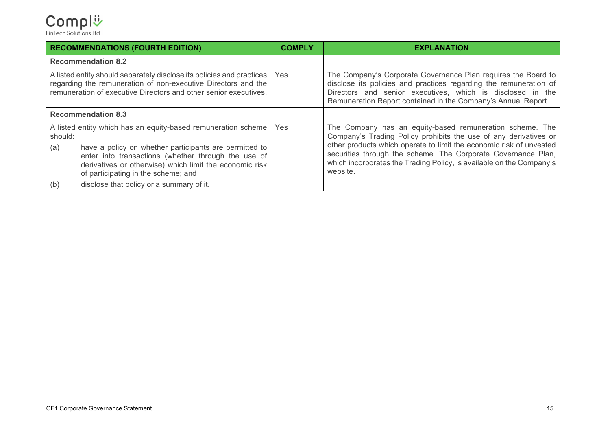#### Compl<sup>ij</sup> FinTech Solutions Ltd

**RECOMMENDATIONS (FOURTH EDITION) COMPLY EXPLANATION Recommendation 8.2** A listed entity should separately disclose its policies and practices regarding the remuneration of non-executive Directors and the remuneration of executive Directors and other senior executives. Yes The Company's Corporate Governance Plan requires the Board to disclose its policies and practices regarding the remuneration of Directors and senior executives, which is disclosed in the Remuneration Report contained in the Company's Annual Report. **Recommendation 8.3** A listed entity which has an equity-based remuneration scheme should: (a) have a policy on whether participants are permitted to enter into transactions (whether through the use of derivatives or otherwise) which limit the economic risk of participating in the scheme; and (b) disclose that policy or a summary of it. Yes The Company has an equity-based remuneration scheme. The Company's Trading Policy prohibits the use of any derivatives or other products which operate to limit the economic risk of unvested securities through the scheme. The Corporate Governance Plan, which incorporates the Trading Policy, is available on the Company's website.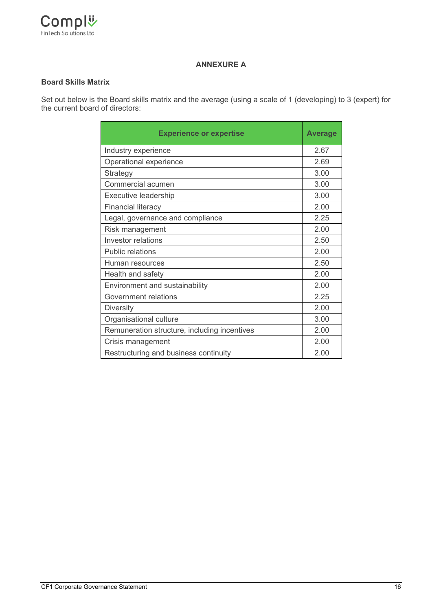

#### **ANNEXURE A**

#### **Board Skills Matrix**

Set out below is the Board skills matrix and the average (using a scale of 1 (developing) to 3 (expert) for the current board of directors:

| <b>Experience or expertise</b>               | <b>Average</b> |
|----------------------------------------------|----------------|
| Industry experience                          | 2.67           |
| Operational experience                       | 2.69           |
| Strategy                                     | 3.00           |
| Commercial acumen                            | 3.00           |
| <b>Executive leadership</b>                  | 3.00           |
| <b>Financial literacy</b>                    | 2.00           |
| Legal, governance and compliance             | 2.25           |
| Risk management                              | 2.00           |
| Investor relations                           | 2.50           |
| <b>Public relations</b>                      | 2.00           |
| Human resources                              | 2.50           |
| Health and safety                            | 2.00           |
| Environment and sustainability               | 2.00           |
| Government relations                         | 2.25           |
| <b>Diversity</b>                             | 2.00           |
| Organisational culture                       | 3.00           |
| Remuneration structure, including incentives | 2.00           |
| Crisis management                            | 2.00           |
| Restructuring and business continuity        | 2.00           |